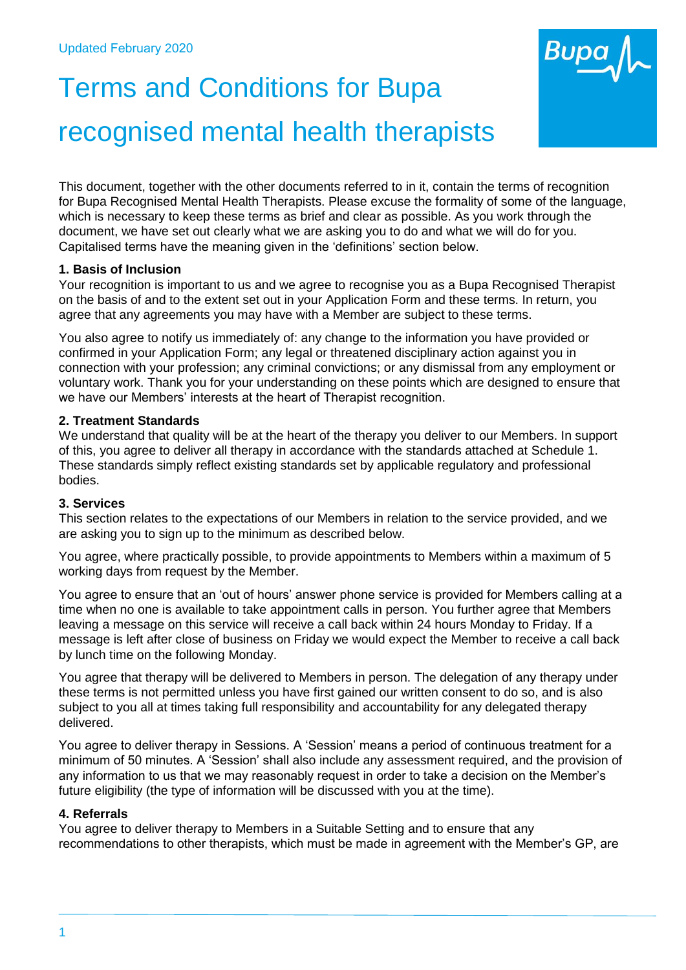

# Terms and Conditions for Bupa recognised mental health therapists

This document, together with the other documents referred to in it, contain the terms of recognition for Bupa Recognised Mental Health Therapists. Please excuse the formality of some of the language, which is necessary to keep these terms as brief and clear as possible. As you work through the document, we have set out clearly what we are asking you to do and what we will do for you. Capitalised terms have the meaning given in the 'definitions' section below.

## **1. Basis of Inclusion**

Your recognition is important to us and we agree to recognise you as a Bupa Recognised Therapist on the basis of and to the extent set out in your Application Form and these terms. In return, you agree that any agreements you may have with a Member are subject to these terms.

You also agree to notify us immediately of: any change to the information you have provided or confirmed in your Application Form; any legal or threatened disciplinary action against you in connection with your profession; any criminal convictions; or any dismissal from any employment or voluntary work. Thank you for your understanding on these points which are designed to ensure that we have our Members' interests at the heart of Therapist recognition.

## **2. Treatment Standards**

We understand that quality will be at the heart of the therapy you deliver to our Members. In support of this, you agree to deliver all therapy in accordance with the standards attached at Schedule 1. These standards simply reflect existing standards set by applicable regulatory and professional bodies.

# **3. Services**

This section relates to the expectations of our Members in relation to the service provided, and we are asking you to sign up to the minimum as described below.

You agree, where practically possible, to provide appointments to Members within a maximum of 5 working days from request by the Member.

You agree to ensure that an 'out of hours' answer phone service is provided for Members calling at a time when no one is available to take appointment calls in person. You further agree that Members leaving a message on this service will receive a call back within 24 hours Monday to Friday. If a message is left after close of business on Friday we would expect the Member to receive a call back by lunch time on the following Monday.

You agree that therapy will be delivered to Members in person. The delegation of any therapy under these terms is not permitted unless you have first gained our written consent to do so, and is also subject to you all at times taking full responsibility and accountability for any delegated therapy delivered.

You agree to deliver therapy in Sessions. A 'Session' means a period of continuous treatment for a minimum of 50 minutes. A 'Session' shall also include any assessment required, and the provision of any information to us that we may reasonably request in order to take a decision on the Member's future eligibility (the type of information will be discussed with you at the time).

# **4. Referrals**

You agree to deliver therapy to Members in a Suitable Setting and to ensure that any recommendations to other therapists, which must be made in agreement with the Member's GP, are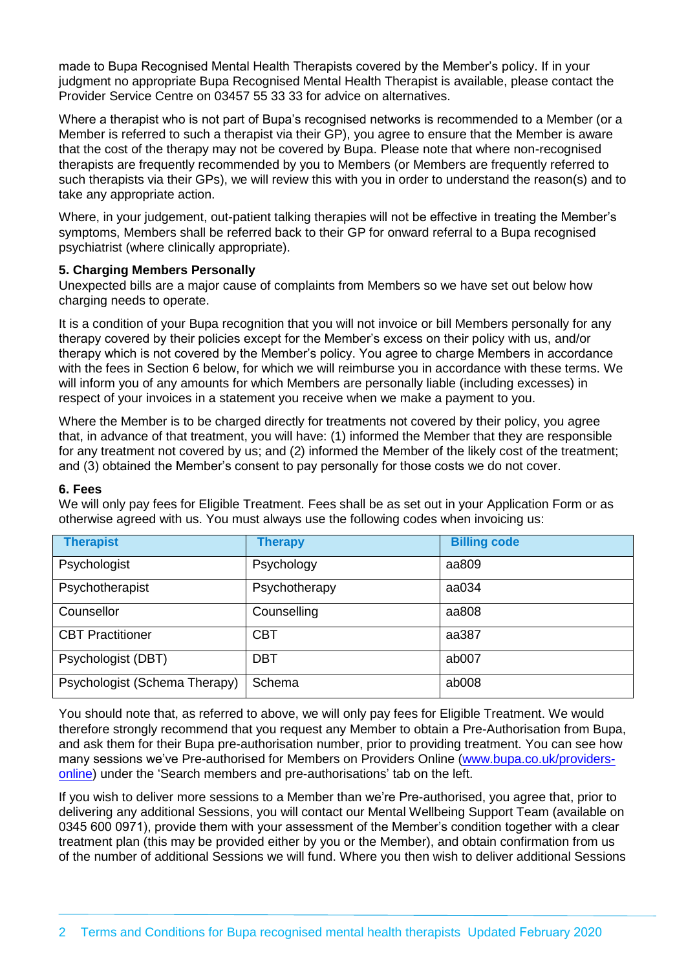made to Bupa Recognised Mental Health Therapists covered by the Member's policy. If in your judgment no appropriate Bupa Recognised Mental Health Therapist is available, please contact the Provider Service Centre on 03457 55 33 33 for advice on alternatives.

Where a therapist who is not part of Bupa's recognised networks is recommended to a Member (or a Member is referred to such a therapist via their GP), you agree to ensure that the Member is aware that the cost of the therapy may not be covered by Bupa. Please note that where non-recognised therapists are frequently recommended by you to Members (or Members are frequently referred to such therapists via their GPs), we will review this with you in order to understand the reason(s) and to take any appropriate action.

Where, in your judgement, out-patient talking therapies will not be effective in treating the Member's symptoms, Members shall be referred back to their GP for onward referral to a Bupa recognised psychiatrist (where clinically appropriate).

## **5. Charging Members Personally**

Unexpected bills are a major cause of complaints from Members so we have set out below how charging needs to operate.

It is a condition of your Bupa recognition that you will not invoice or bill Members personally for any therapy covered by their policies except for the Member's excess on their policy with us, and/or therapy which is not covered by the Member's policy. You agree to charge Members in accordance with the fees in Section 6 below, for which we will reimburse you in accordance with these terms. We will inform you of any amounts for which Members are personally liable (including excesses) in respect of your invoices in a statement you receive when we make a payment to you.

Where the Member is to be charged directly for treatments not covered by their policy, you agree that, in advance of that treatment, you will have: (1) informed the Member that they are responsible for any treatment not covered by us; and (2) informed the Member of the likely cost of the treatment; and (3) obtained the Member's consent to pay personally for those costs we do not cover.

#### **6. Fees**

We will only pay fees for Eligible Treatment. Fees shall be as set out in your Application Form or as otherwise agreed with us. You must always use the following codes when invoicing us:

| <b>Therapist</b>              | <b>Therapy</b> | <b>Billing code</b> |
|-------------------------------|----------------|---------------------|
| Psychologist                  | Psychology     | aa809               |
| Psychotherapist               | Psychotherapy  | aa034               |
| Counsellor                    | Counselling    | aa808               |
| <b>CBT</b> Practitioner       | <b>CBT</b>     | aa387               |
| Psychologist (DBT)            | <b>DBT</b>     | ab007               |
| Psychologist (Schema Therapy) | Schema         | ab008               |

You should note that, as referred to above, we will only pay fees for Eligible Treatment. We would therefore strongly recommend that you request any Member to obtain a Pre-Authorisation from Bupa, and ask them for their Bupa pre-authorisation number, prior to providing treatment. You can see how many sessions we've Pre-authorised for Members on Providers Online [\(www.bupa.co.uk/providers](http://www.bupa.co.uk/providers-online)[online\)](http://www.bupa.co.uk/providers-online) under the 'Search members and pre-authorisations' tab on the left.

If you wish to deliver more sessions to a Member than we're Pre-authorised, you agree that, prior to delivering any additional Sessions, you will contact our Mental Wellbeing Support Team (available on 0345 600 0971), provide them with your assessment of the Member's condition together with a clear treatment plan (this may be provided either by you or the Member), and obtain confirmation from us of the number of additional Sessions we will fund. Where you then wish to deliver additional Sessions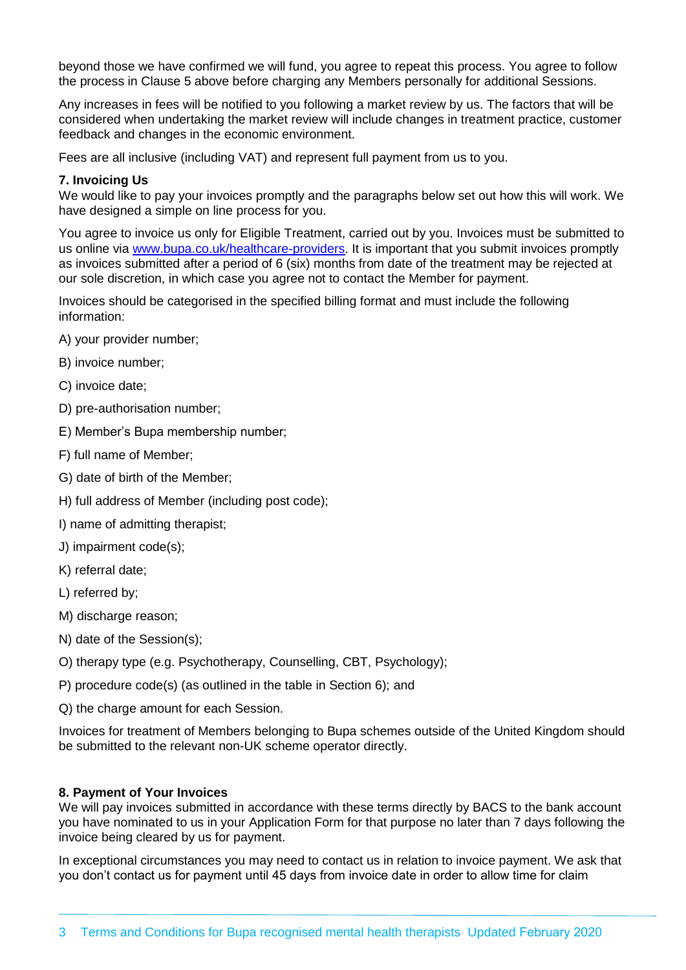beyond those we have confirmed we will fund, you agree to repeat this process. You agree to follow the process in Clause 5 above before charging any Members personally for additional Sessions.

Any increases in fees will be notified to you following a market review by us. The factors that will be considered when undertaking the market review will include changes in treatment practice, customer feedback and changes in the economic environment.

Fees are all inclusive (including VAT) and represent full payment from us to you.

#### **7. Invoicing Us**

We would like to pay your invoices promptly and the paragraphs below set out how this will work. We have designed a simple on line process for you.

You agree to invoice us only for Eligible Treatment, carried out by you. Invoices must be submitted to us online via [www.bupa.co.uk/healthcare-providers.](http://www.bupa.co.uk/healthcare-providers) It is important that you submit invoices promptly as invoices submitted after a period of 6 (six) months from date of the treatment may be rejected at our sole discretion, in which case you agree not to contact the Member for payment.

Invoices should be categorised in the specified billing format and must include the following information:

- A) your provider number;
- B) invoice number;
- C) invoice date;
- D) pre-authorisation number;
- E) Member's Bupa membership number;
- F) full name of Member;
- G) date of birth of the Member;
- H) full address of Member (including post code);
- I) name of admitting therapist;
- J) impairment code(s);
- K) referral date;
- L) referred by;
- M) discharge reason:
- N) date of the Session(s);
- O) therapy type (e.g. Psychotherapy, Counselling, CBT, Psychology);
- P) procedure code(s) (as outlined in the table in Section 6); and
- Q) the charge amount for each Session.

Invoices for treatment of Members belonging to Bupa schemes outside of the United Kingdom should be submitted to the relevant non-UK scheme operator directly.

#### **8. Payment of Your Invoices**

We will pay invoices submitted in accordance with these terms directly by BACS to the bank account you have nominated to us in your Application Form for that purpose no later than 7 days following the invoice being cleared by us for payment.

In exceptional circumstances you may need to contact us in relation to invoice payment. We ask that you don't contact us for payment until 45 days from invoice date in order to allow time for claim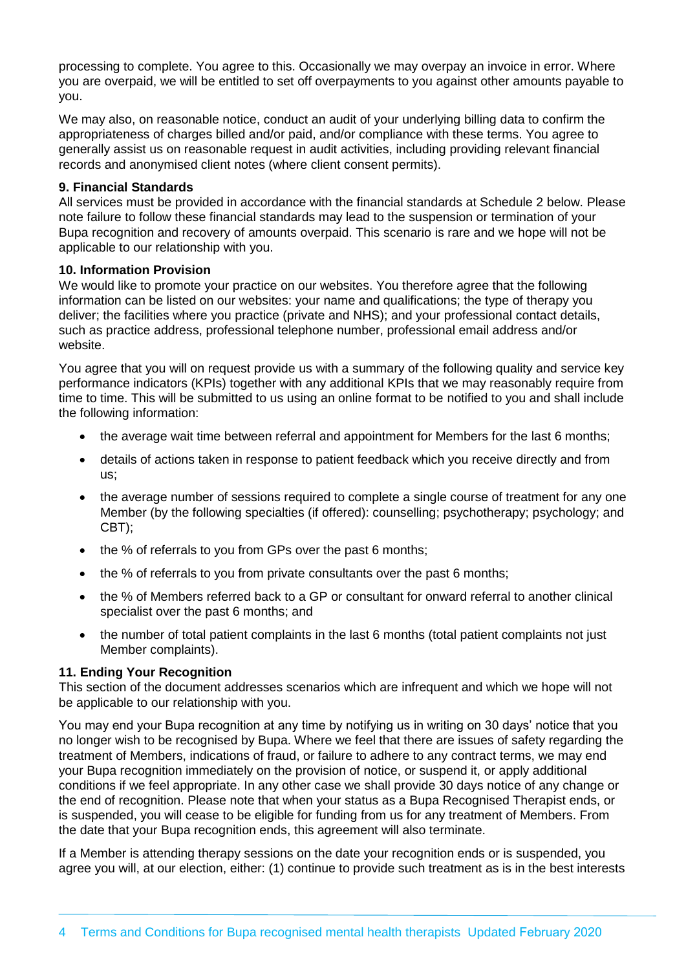processing to complete. You agree to this. Occasionally we may overpay an invoice in error. Where you are overpaid, we will be entitled to set off overpayments to you against other amounts payable to you.

We may also, on reasonable notice, conduct an audit of your underlying billing data to confirm the appropriateness of charges billed and/or paid, and/or compliance with these terms. You agree to generally assist us on reasonable request in audit activities, including providing relevant financial records and anonymised client notes (where client consent permits).

#### **9. Financial Standards**

All services must be provided in accordance with the financial standards at Schedule 2 below. Please note failure to follow these financial standards may lead to the suspension or termination of your Bupa recognition and recovery of amounts overpaid. This scenario is rare and we hope will not be applicable to our relationship with you.

## **10. Information Provision**

We would like to promote your practice on our websites. You therefore agree that the following information can be listed on our websites: your name and qualifications; the type of therapy you deliver; the facilities where you practice (private and NHS); and your professional contact details, such as practice address, professional telephone number, professional email address and/or website.

You agree that you will on request provide us with a summary of the following quality and service key performance indicators (KPIs) together with any additional KPIs that we may reasonably require from time to time. This will be submitted to us using an online format to be notified to you and shall include the following information:

- the average wait time between referral and appointment for Members for the last 6 months;
- details of actions taken in response to patient feedback which you receive directly and from us;
- the average number of sessions required to complete a single course of treatment for any one Member (by the following specialties (if offered): counselling; psychotherapy; psychology; and CBT);
- the % of referrals to you from GPs over the past 6 months;
- the % of referrals to you from private consultants over the past 6 months;
- the % of Members referred back to a GP or consultant for onward referral to another clinical specialist over the past 6 months; and
- the number of total patient complaints in the last 6 months (total patient complaints not just Member complaints).

## **11. Ending Your Recognition**

This section of the document addresses scenarios which are infrequent and which we hope will not be applicable to our relationship with you.

You may end your Bupa recognition at any time by notifying us in writing on 30 days' notice that you no longer wish to be recognised by Bupa. Where we feel that there are issues of safety regarding the treatment of Members, indications of fraud, or failure to adhere to any contract terms, we may end your Bupa recognition immediately on the provision of notice, or suspend it, or apply additional conditions if we feel appropriate. In any other case we shall provide 30 days notice of any change or the end of recognition. Please note that when your status as a Bupa Recognised Therapist ends, or is suspended, you will cease to be eligible for funding from us for any treatment of Members. From the date that your Bupa recognition ends, this agreement will also terminate.

If a Member is attending therapy sessions on the date your recognition ends or is suspended, you agree you will, at our election, either: (1) continue to provide such treatment as is in the best interests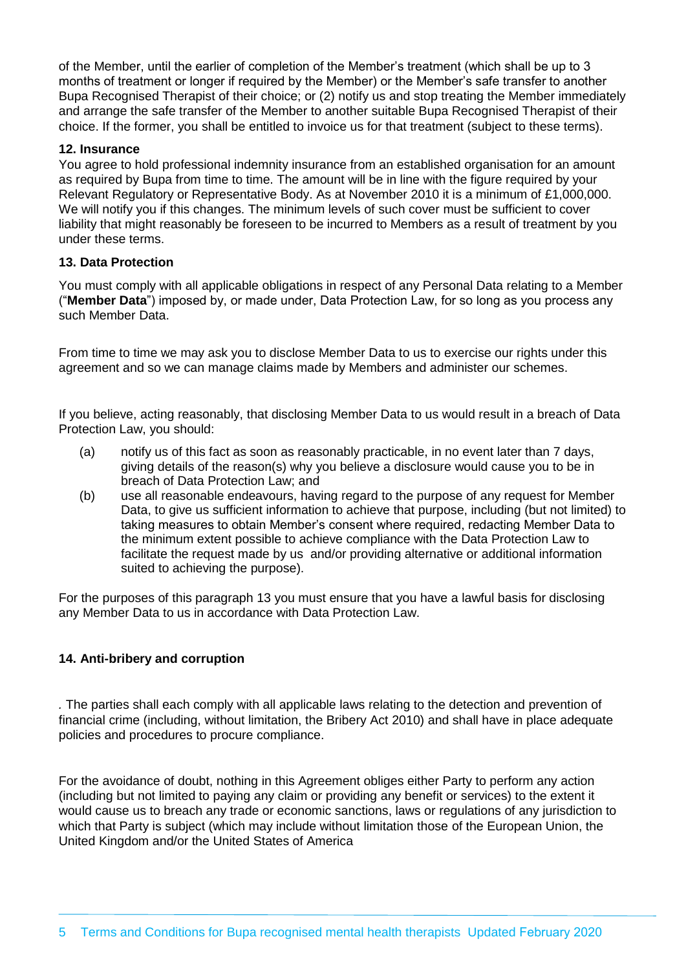of the Member, until the earlier of completion of the Member's treatment (which shall be up to 3 months of treatment or longer if required by the Member) or the Member's safe transfer to another Bupa Recognised Therapist of their choice; or (2) notify us and stop treating the Member immediately and arrange the safe transfer of the Member to another suitable Bupa Recognised Therapist of their choice. If the former, you shall be entitled to invoice us for that treatment (subject to these terms).

## **12. Insurance**

You agree to hold professional indemnity insurance from an established organisation for an amount as required by Bupa from time to time. The amount will be in line with the figure required by your Relevant Regulatory or Representative Body. As at November 2010 it is a minimum of £1,000,000. We will notify you if this changes. The minimum levels of such cover must be sufficient to cover liability that might reasonably be foreseen to be incurred to Members as a result of treatment by you under these terms.

#### **13. Data Protection**

You must comply with all applicable obligations in respect of any Personal Data relating to a Member ("**Member Data**") imposed by, or made under, Data Protection Law, for so long as you process any such Member Data.

From time to time we may ask you to disclose Member Data to us to exercise our rights under this agreement and so we can manage claims made by Members and administer our schemes.

If you believe, acting reasonably, that disclosing Member Data to us would result in a breach of Data Protection Law, you should:

- (a) notify us of this fact as soon as reasonably practicable, in no event later than 7 days, giving details of the reason(s) why you believe a disclosure would cause you to be in breach of Data Protection Law; and
- (b) use all reasonable endeavours, having regard to the purpose of any request for Member Data, to give us sufficient information to achieve that purpose, including (but not limited) to taking measures to obtain Member's consent where required, redacting Member Data to the minimum extent possible to achieve compliance with the Data Protection Law to facilitate the request made by us and/or providing alternative or additional information suited to achieving the purpose).

For the purposes of this paragraph 13 you must ensure that you have a lawful basis for disclosing any Member Data to us in accordance with Data Protection Law.

## **14. Anti-bribery and corruption**

*.* The parties shall each comply with all applicable laws relating to the detection and prevention of financial crime (including, without limitation, the Bribery Act 2010) and shall have in place adequate policies and procedures to procure compliance.

For the avoidance of doubt, nothing in this Agreement obliges either Party to perform any action (including but not limited to paying any claim or providing any benefit or services) to the extent it would cause us to breach any trade or economic sanctions, laws or regulations of any jurisdiction to which that Party is subject (which may include without limitation those of the European Union, the United Kingdom and/or the United States of America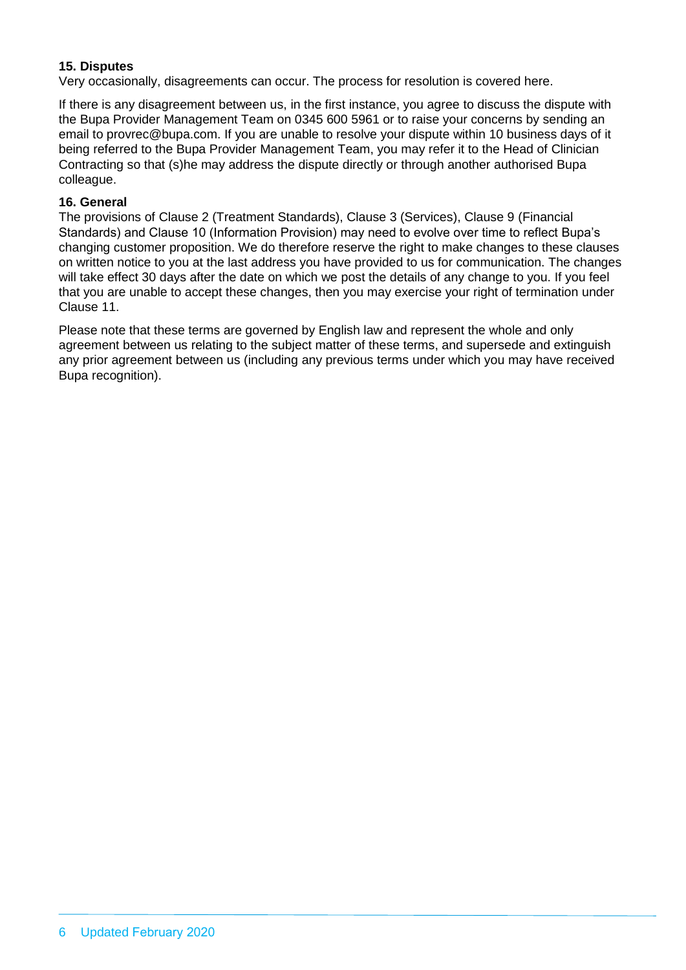# **15. Disputes**

Very occasionally, disagreements can occur. The process for resolution is covered here.

If there is any disagreement between us, in the first instance, you agree to discuss the dispute with the Bupa Provider Management Team on 0345 600 5961 or to raise your concerns by sending an email to provrec@bupa.com. If you are unable to resolve your dispute within 10 business days of it being referred to the Bupa Provider Management Team, you may refer it to the Head of Clinician Contracting so that (s)he may address the dispute directly or through another authorised Bupa colleague.

## **16. General**

The provisions of Clause 2 (Treatment Standards), Clause 3 (Services), Clause 9 (Financial Standards) and Clause 10 (Information Provision) may need to evolve over time to reflect Bupa's changing customer proposition. We do therefore reserve the right to make changes to these clauses on written notice to you at the last address you have provided to us for communication. The changes will take effect 30 days after the date on which we post the details of any change to you. If you feel that you are unable to accept these changes, then you may exercise your right of termination under Clause 11.

Please note that these terms are governed by English law and represent the whole and only agreement between us relating to the subject matter of these terms, and supersede and extinguish any prior agreement between us (including any previous terms under which you may have received Bupa recognition).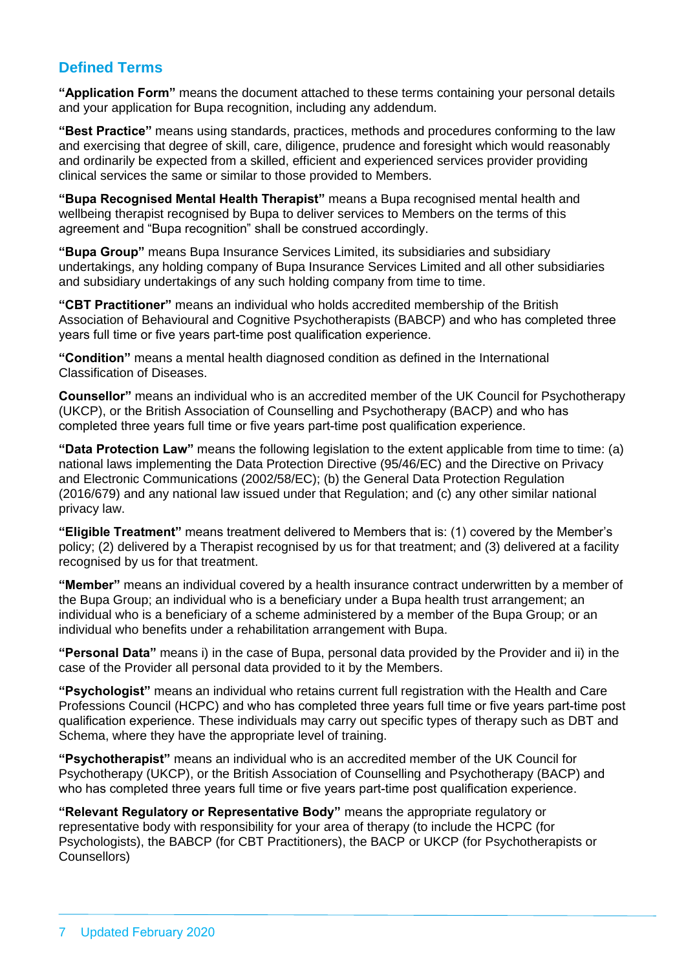# **Defined Terms**

**"Application Form"** means the document attached to these terms containing your personal details and your application for Bupa recognition, including any addendum.

**"Best Practice"** means using standards, practices, methods and procedures conforming to the law and exercising that degree of skill, care, diligence, prudence and foresight which would reasonably and ordinarily be expected from a skilled, efficient and experienced services provider providing clinical services the same or similar to those provided to Members.

**"Bupa Recognised Mental Health Therapist"** means a Bupa recognised mental health and wellbeing therapist recognised by Bupa to deliver services to Members on the terms of this agreement and "Bupa recognition" shall be construed accordingly.

**"Bupa Group"** means Bupa Insurance Services Limited, its subsidiaries and subsidiary undertakings, any holding company of Bupa Insurance Services Limited and all other subsidiaries and subsidiary undertakings of any such holding company from time to time.

**"CBT Practitioner"** means an individual who holds accredited membership of the British Association of Behavioural and Cognitive Psychotherapists (BABCP) and who has completed three years full time or five years part-time post qualification experience.

**"Condition"** means a mental health diagnosed condition as defined in the International Classification of Diseases.

**Counsellor"** means an individual who is an accredited member of the UK Council for Psychotherapy (UKCP), or the British Association of Counselling and Psychotherapy (BACP) and who has completed three years full time or five years part-time post qualification experience.

**"Data Protection Law"** means the following legislation to the extent applicable from time to time: (a) national laws implementing the Data Protection Directive (95/46/EC) and the Directive on Privacy and Electronic Communications (2002/58/EC); (b) the General Data Protection Regulation (2016/679) and any national law issued under that Regulation; and (c) any other similar national privacy law.

**"Eligible Treatment"** means treatment delivered to Members that is: (1) covered by the Member's policy; (2) delivered by a Therapist recognised by us for that treatment; and (3) delivered at a facility recognised by us for that treatment.

**"Member"** means an individual covered by a health insurance contract underwritten by a member of the Bupa Group; an individual who is a beneficiary under a Bupa health trust arrangement; an individual who is a beneficiary of a scheme administered by a member of the Bupa Group; or an individual who benefits under a rehabilitation arrangement with Bupa.

**"Personal Data"** means i) in the case of Bupa, personal data provided by the Provider and ii) in the case of the Provider all personal data provided to it by the Members.

**"Psychologist"** means an individual who retains current full registration with the Health and Care Professions Council (HCPC) and who has completed three years full time or five years part-time post qualification experience. These individuals may carry out specific types of therapy such as DBT and Schema, where they have the appropriate level of training.

**"Psychotherapist"** means an individual who is an accredited member of the UK Council for Psychotherapy (UKCP), or the British Association of Counselling and Psychotherapy (BACP) and who has completed three years full time or five years part-time post qualification experience.

**"Relevant Regulatory or Representative Body"** means the appropriate regulatory or representative body with responsibility for your area of therapy (to include the HCPC (for Psychologists), the BABCP (for CBT Practitioners), the BACP or UKCP (for Psychotherapists or Counsellors)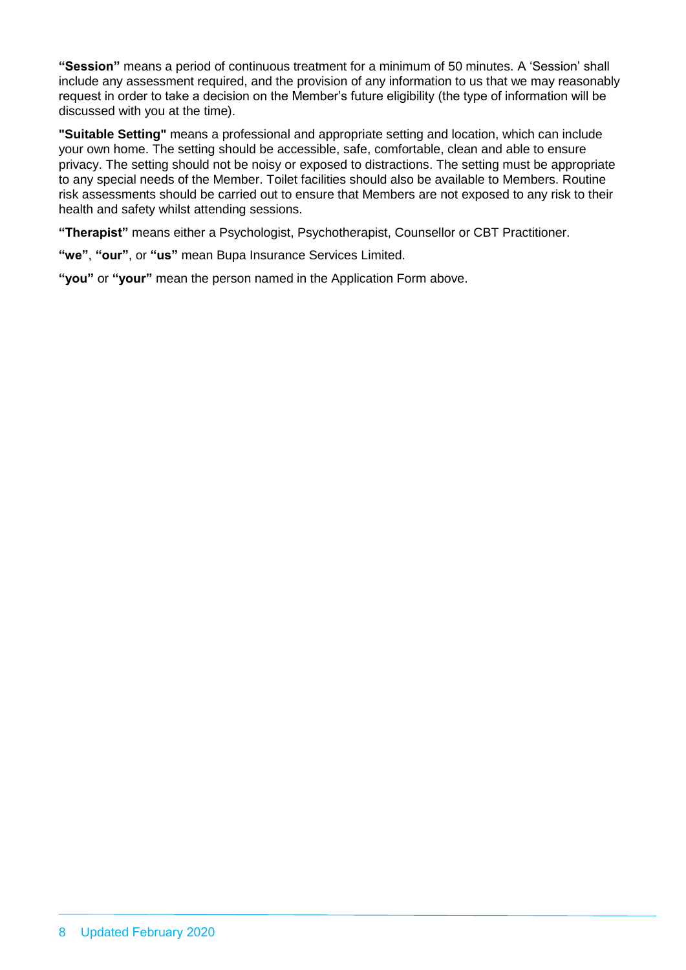**"Session"** means a period of continuous treatment for a minimum of 50 minutes. A 'Session' shall include any assessment required, and the provision of any information to us that we may reasonably request in order to take a decision on the Member's future eligibility (the type of information will be discussed with you at the time).

**"Suitable Setting"** means a professional and appropriate setting and location, which can include your own home. The setting should be accessible, safe, comfortable, clean and able to ensure privacy. The setting should not be noisy or exposed to distractions. The setting must be appropriate to any special needs of the Member. Toilet facilities should also be available to Members. Routine risk assessments should be carried out to ensure that Members are not exposed to any risk to their health and safety whilst attending sessions.

**"Therapist"** means either a Psychologist, Psychotherapist, Counsellor or CBT Practitioner.

**"we"**, **"our"**, or **"us"** mean Bupa Insurance Services Limited.

**"you"** or **"your"** mean the person named in the Application Form above.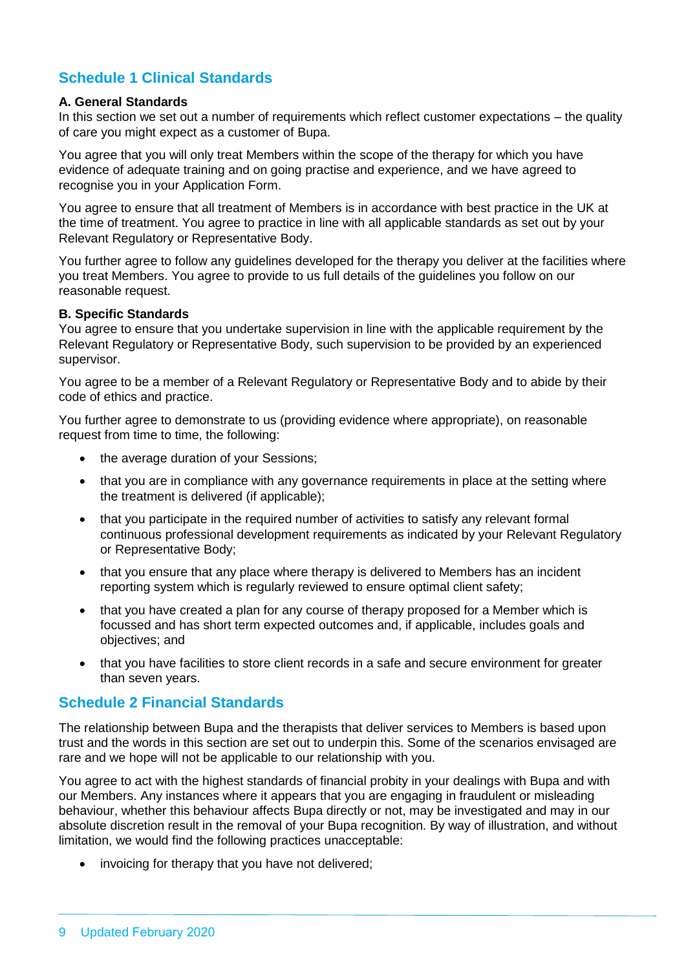# **Schedule 1 Clinical Standards**

#### **A. General Standards**

In this section we set out a number of requirements which reflect customer expectations – the quality of care you might expect as a customer of Bupa.

You agree that you will only treat Members within the scope of the therapy for which you have evidence of adequate training and on going practise and experience, and we have agreed to recognise you in your Application Form.

You agree to ensure that all treatment of Members is in accordance with best practice in the UK at the time of treatment. You agree to practice in line with all applicable standards as set out by your Relevant Regulatory or Representative Body.

You further agree to follow any guidelines developed for the therapy you deliver at the facilities where you treat Members. You agree to provide to us full details of the guidelines you follow on our reasonable request.

#### **B. Specific Standards**

You agree to ensure that you undertake supervision in line with the applicable requirement by the Relevant Regulatory or Representative Body, such supervision to be provided by an experienced supervisor.

You agree to be a member of a Relevant Regulatory or Representative Body and to abide by their code of ethics and practice.

You further agree to demonstrate to us (providing evidence where appropriate), on reasonable request from time to time, the following:

- the average duration of your Sessions;
- that you are in compliance with any governance requirements in place at the setting where the treatment is delivered (if applicable);
- that you participate in the required number of activities to satisfy any relevant formal continuous professional development requirements as indicated by your Relevant Regulatory or Representative Body;
- that you ensure that any place where therapy is delivered to Members has an incident reporting system which is regularly reviewed to ensure optimal client safety;
- that you have created a plan for any course of therapy proposed for a Member which is focussed and has short term expected outcomes and, if applicable, includes goals and objectives; and
- that you have facilities to store client records in a safe and secure environment for greater than seven years.

# **Schedule 2 Financial Standards**

The relationship between Bupa and the therapists that deliver services to Members is based upon trust and the words in this section are set out to underpin this. Some of the scenarios envisaged are rare and we hope will not be applicable to our relationship with you.

You agree to act with the highest standards of financial probity in your dealings with Bupa and with our Members. Any instances where it appears that you are engaging in fraudulent or misleading behaviour, whether this behaviour affects Bupa directly or not, may be investigated and may in our absolute discretion result in the removal of your Bupa recognition. By way of illustration, and without limitation, we would find the following practices unacceptable:

• invoicing for therapy that you have not delivered;